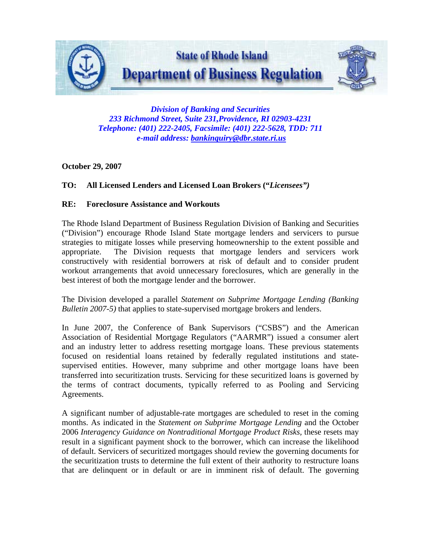

*Division of Banking and Securities 233 Richmond Street, Suite 231,Providence, RI 02903-4231 Telephone: (401) 222-2405, Facsimile: (401) 222-5628, TDD: 711 e-mail address: [bankinquiry@dbr.state.ri.us](mailto:bankinquiry@dbr.state.ri.us)*

# **October 29, 2007**

# **TO: All Licensed Lenders and Licensed Loan Brokers ("***Licensees")*

## **RE: Foreclosure Assistance and Workouts**

The Rhode Island Department of Business Regulation Division of Banking and Securities ("Division") encourage Rhode Island State mortgage lenders and servicers to pursue strategies to mitigate losses while preserving homeownership to the extent possible and appropriate. The Division requests that mortgage lenders and servicers work constructively with residential borrowers at risk of default and to consider prudent workout arrangements that avoid unnecessary foreclosures, which are generally in the best interest of both the mortgage lender and the borrower.

The Division developed a parallel *Statement on Subprime Mortgage Lending (Banking Bulletin 2007-5)* that applies to state-supervised mortgage brokers and lenders.

In June 2007, the Conference of Bank Supervisors ("CSBS") and the American Association of Residential Mortgage Regulators ("AARMR") issued a consumer alert and an industry letter to address resetting mortgage loans. These previous statements focused on residential loans retained by federally regulated institutions and statesupervised entities. However, many subprime and other mortgage loans have been transferred into securitization trusts. Servicing for these securitized loans is governed by the terms of contract documents, typically referred to as Pooling and Servicing Agreements.

A significant number of adjustable-rate mortgages are scheduled to reset in the coming months. As indicated in the *Statement on Subprime Mortgage Lending* and the October 2006 *Interagency Guidance on Nontraditional Mortgage Product Risks,* these resets may result in a significant payment shock to the borrower, which can increase the likelihood of default. Servicers of securitized mortgages should review the governing documents for the securitization trusts to determine the full extent of their authority to restructure loans that are delinquent or in default or are in imminent risk of default. The governing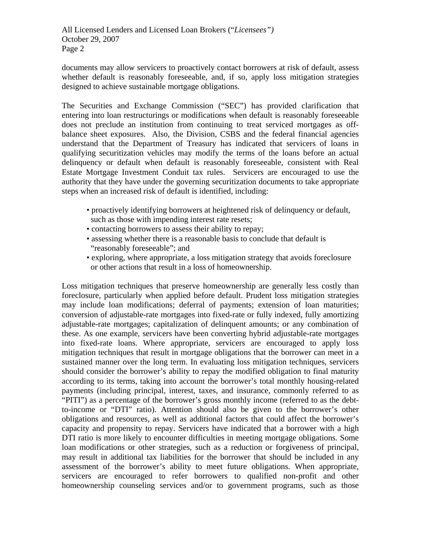All Licensed Lenders and Licensed Loan Brokers ("*Licensees")* October 29, 2007 Page 2

documents may allow servicers to proactively contact borrowers at risk of default, assess whether default is reasonably foreseeable, and, if so, apply loss mitigation strategies designed to achieve sustainable mortgage obligations.

The Securities and Exchange Commission ("SEC") has provided clarification that entering into loan restructurings or modifications when default is reasonably foreseeable does not preclude an institution from continuing to treat serviced mortgages as offbalance sheet exposures. Also, the Division, CSBS and the federal financial agencies understand that the Department of Treasury has indicated that servicers of loans in qualifying securitization vehicles may modify the terms of the loans before an actual delinquency or default when default is reasonably foreseeable, consistent with Real Estate Mortgage Investment Conduit tax rules. Servicers are encouraged to use the authority that they have under the governing securitization documents to take appropriate steps when an increased risk of default is identified, including:

- proactively identifying borrowers at heightened risk of delinquency or default, such as those with impending interest rate resets;
- contacting borrowers to assess their ability to repay;
- assessing whether there is a reasonable basis to conclude that default is "reasonably foreseeable"; and
- exploring, where appropriate, a loss mitigation strategy that avoids foreclosure or other actions that result in a loss of homeownership.

Loss mitigation techniques that preserve homeownership are generally less costly than foreclosure, particularly when applied before default. Prudent loss mitigation strategies may include loan modifications; deferral of payments; extension of loan maturities; conversion of adjustable-rate mortgages into fixed-rate or fully indexed, fully amortizing adjustable-rate mortgages; capitalization of delinquent amounts; or any combination of these. As one example, servicers have been converting hybrid adjustable-rate mortgages into fixed-rate loans. Where appropriate, servicers are encouraged to apply loss mitigation techniques that result in mortgage obligations that the borrower can meet in a sustained manner over the long term. In evaluating loss mitigation techniques, servicers should consider the borrower's ability to repay the modified obligation to final maturity according to its terms, taking into account the borrower's total monthly housing-related payments (including principal, interest, taxes, and insurance, commonly referred to as "PITI") as a percentage of the borrower's gross monthly income (referred to as the debtto-income or "DTI" ratio). Attention should also be given to the borrower's other obligations and resources, as well as additional factors that could affect the borrower's capacity and propensity to repay. Servicers have indicated that a borrower with a high DTI ratio is more likely to encounter difficulties in meeting mortgage obligations. Some loan modifications or other strategies, such as a reduction or forgiveness of principal, may result in additional tax liabilities for the borrower that should be included in any assessment of the borrower's ability to meet future obligations. When appropriate, servicers are encouraged to refer borrowers to qualified non-profit and other homeownership counseling services and/or to government programs, such as those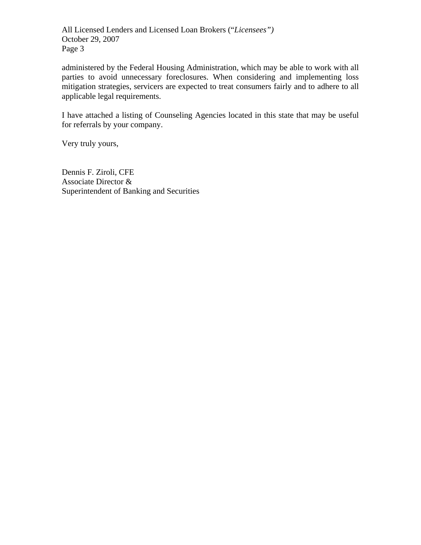All Licensed Lenders and Licensed Loan Brokers ("*Licensees")* October 29, 2007 Page 3

administered by the Federal Housing Administration, which may be able to work with all parties to avoid unnecessary foreclosures. When considering and implementing loss mitigation strategies, servicers are expected to treat consumers fairly and to adhere to all applicable legal requirements.

I have attached a listing of Counseling Agencies located in this state that may be useful for referrals by your company.

Very truly yours,

Dennis F. Ziroli, CFE Associate Director & Superintendent of Banking and Securities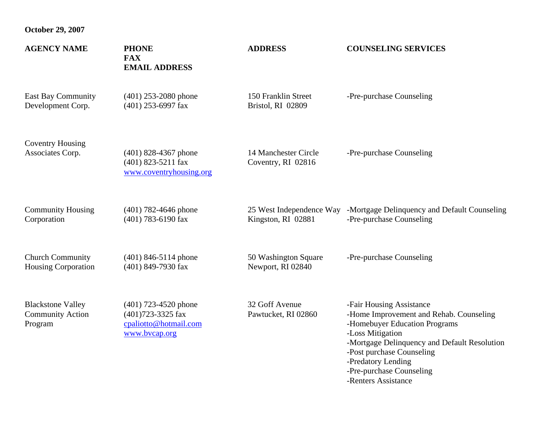| <b>AGENCY NAME</b>                                             | <b>PHONE</b><br><b>FAX</b><br><b>EMAIL ADDRESS</b>                                    | <b>ADDRESS</b>                             | <b>COUNSELING SERVICES</b>                                                                                                                                                                                                                                                     |
|----------------------------------------------------------------|---------------------------------------------------------------------------------------|--------------------------------------------|--------------------------------------------------------------------------------------------------------------------------------------------------------------------------------------------------------------------------------------------------------------------------------|
| <b>East Bay Community</b>                                      | $(401)$ 253-2080 phone                                                                | 150 Franklin Street                        | -Pre-purchase Counseling                                                                                                                                                                                                                                                       |
| Development Corp.                                              | (401) 253-6997 fax                                                                    | Bristol, RI 02809                          |                                                                                                                                                                                                                                                                                |
| <b>Coventry Housing</b><br>Associates Corp.                    | $(401)$ 828-4367 phone<br>(401) 823-5211 fax<br>www.coventryhousing.org               | 14 Manchester Circle<br>Coventry, RI 02816 | -Pre-purchase Counseling                                                                                                                                                                                                                                                       |
| <b>Community Housing</b>                                       | $(401)$ 782-4646 phone                                                                | Kingston, RI 02881                         | 25 West Independence Way -Mortgage Delinquency and Default Counseling                                                                                                                                                                                                          |
| Corporation                                                    | (401) 783-6190 fax                                                                    |                                            | -Pre-purchase Counseling                                                                                                                                                                                                                                                       |
| <b>Church Community</b>                                        | $(401)$ 846-5114 phone                                                                | 50 Washington Square                       | -Pre-purchase Counseling                                                                                                                                                                                                                                                       |
| <b>Housing Corporation</b>                                     | (401) 849-7930 fax                                                                    | Newport, RI 02840                          |                                                                                                                                                                                                                                                                                |
| <b>Blackstone Valley</b><br><b>Community Action</b><br>Program | $(401)$ 723-4520 phone<br>(401)723-3325 fax<br>cpaliotto@hotmail.com<br>www.bvcap.org | 32 Goff Avenue<br>Pawtucket, RI 02860      | -Fair Housing Assistance<br>-Home Improvement and Rehab. Counseling<br>-Homebuyer Education Programs<br>-Loss Mitigation<br>-Mortgage Delinquency and Default Resolution<br>-Post purchase Counseling<br>-Predatory Lending<br>-Pre-purchase Counseling<br>-Renters Assistance |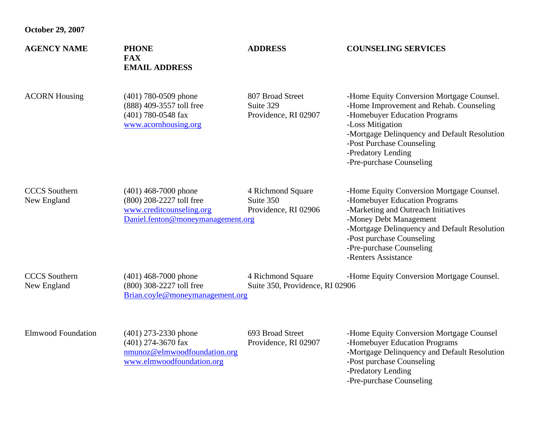| <b>AGENCY NAME</b>                  | <b>PHONE</b><br><b>FAX</b><br><b>EMAIL ADDRESS</b>                                                                  | <b>ADDRESS</b>                                         | <b>COUNSELING SERVICES</b>                                                                                                                                                                                                                                                  |
|-------------------------------------|---------------------------------------------------------------------------------------------------------------------|--------------------------------------------------------|-----------------------------------------------------------------------------------------------------------------------------------------------------------------------------------------------------------------------------------------------------------------------------|
| <b>ACORN Housing</b>                | $(401)$ 780-0509 phone<br>(888) 409-3557 toll free<br>(401) 780-0548 fax<br>www.acornhousing.org                    | 807 Broad Street<br>Suite 329<br>Providence, RI 02907  | -Home Equity Conversion Mortgage Counsel.<br>-Home Improvement and Rehab. Counseling<br>-Homebuyer Education Programs<br>-Loss Mitigation<br>-Mortgage Delinquency and Default Resolution<br>-Post Purchase Counseling<br>-Predatory Lending<br>-Pre-purchase Counseling    |
| <b>CCCS</b> Southern<br>New England | $(401)$ 468-7000 phone<br>(800) 208-2227 toll free<br>www.creditcounseling.org<br>Daniel.fenton@moneymanagement.org | 4 Richmond Square<br>Suite 350<br>Providence, RI 02906 | -Home Equity Conversion Mortgage Counsel.<br>-Homebuyer Education Programs<br>-Marketing and Outreach Initiatives<br>-Money Debt Management<br>-Mortgage Delinquency and Default Resolution<br>-Post purchase Counseling<br>-Pre-purchase Counseling<br>-Renters Assistance |
| <b>CCCS</b> Southern<br>New England | $(401)$ 468-7000 phone<br>(800) 308-2227 toll free<br>Brian.coyle@moneymanagement.org                               | 4 Richmond Square<br>Suite 350, Providence, RI 02906   | -Home Equity Conversion Mortgage Counsel.                                                                                                                                                                                                                                   |
| <b>Elmwood Foundation</b>           | $(401)$ 273-2330 phone<br>$(401)$ 274-3670 fax<br>nmunoz@elmwoodfoundation.org<br>www.elmwoodfoundation.org         | 693 Broad Street<br>Providence, RI 02907               | -Home Equity Conversion Mortgage Counsel<br>-Homebuyer Education Programs<br>-Mortgage Delinquency and Default Resolution<br>-Post purchase Counseling<br>-Predatory Lending                                                                                                |

-Pre-purchase Counseling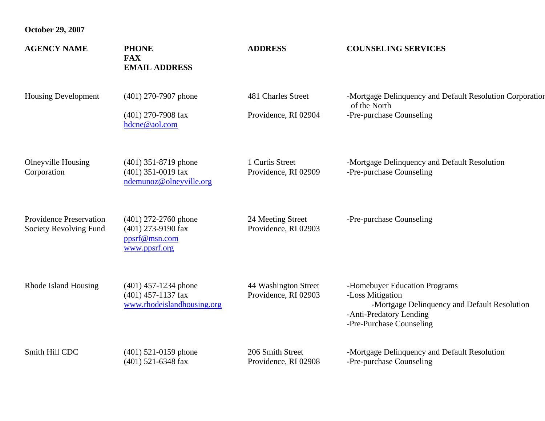| <b>AGENCY NAME</b>                                       | <b>PHONE</b><br><b>FAX</b><br><b>EMAIL ADDRESS</b>                             | <b>ADDRESS</b>                               | <b>COUNSELING SERVICES</b>                                                                                                                               |
|----------------------------------------------------------|--------------------------------------------------------------------------------|----------------------------------------------|----------------------------------------------------------------------------------------------------------------------------------------------------------|
| <b>Housing Development</b>                               | $(401)$ 270-7907 phone<br>$(401)$ 270-7908 fax<br>hdcne@aol.com                | 481 Charles Street<br>Providence, RI 02904   | -Mortgage Delinquency and Default Resolution Corporation<br>of the North<br>-Pre-purchase Counseling                                                     |
| <b>Olneyville Housing</b><br>Corporation                 | $(401)$ 351-8719 phone<br>$(401)$ 351-0019 fax<br>ndemunoz@olneyville.org      | 1 Curtis Street<br>Providence, RI 02909      | -Mortgage Delinquency and Default Resolution<br>-Pre-purchase Counseling                                                                                 |
| <b>Providence Preservation</b><br>Society Revolving Fund | $(401)$ 272-2760 phone<br>(401) 273-9190 fax<br>ppsrf@msn.com<br>www.ppsrf.org | 24 Meeting Street<br>Providence, RI 02903    | -Pre-purchase Counseling                                                                                                                                 |
| Rhode Island Housing                                     | $(401)$ 457-1234 phone<br>$(401)$ 457-1137 fax<br>www.rhodeislandhousing.org   | 44 Washington Street<br>Providence, RI 02903 | -Homebuyer Education Programs<br>-Loss Mitigation<br>-Mortgage Delinquency and Default Resolution<br>-Anti-Predatory Lending<br>-Pre-Purchase Counseling |
| Smith Hill CDC                                           | $(401)$ 521-0159 phone<br>$(401)$ 521-6348 fax                                 | 206 Smith Street<br>Providence, RI 02908     | -Mortgage Delinquency and Default Resolution<br>-Pre-purchase Counseling                                                                                 |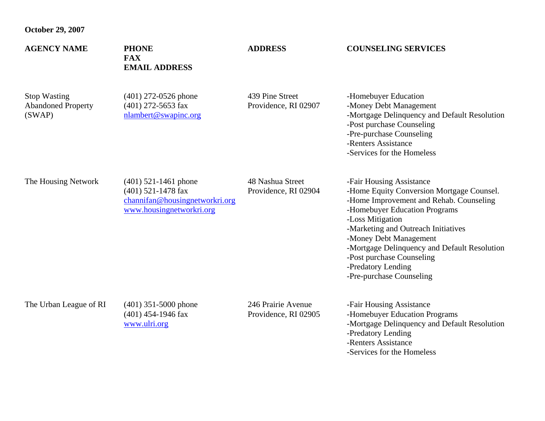| <b>AGENCY NAME</b>                                         | <b>PHONE</b><br><b>FAX</b><br><b>EMAIL ADDRESS</b>                                                           | <b>ADDRESS</b>                             | <b>COUNSELING SERVICES</b>                                                                                                                                                                                                                                                                                                                                            |
|------------------------------------------------------------|--------------------------------------------------------------------------------------------------------------|--------------------------------------------|-----------------------------------------------------------------------------------------------------------------------------------------------------------------------------------------------------------------------------------------------------------------------------------------------------------------------------------------------------------------------|
| <b>Stop Wasting</b><br><b>Abandoned Property</b><br>(SWAP) | $(401)$ 272-0526 phone<br>$(401)$ 272-5653 fax<br>nlambert@swapinc.org                                       | 439 Pine Street<br>Providence, RI 02907    | -Homebuyer Education<br>-Money Debt Management<br>-Mortgage Delinquency and Default Resolution<br>-Post purchase Counseling<br>-Pre-purchase Counseling<br>-Renters Assistance<br>-Services for the Homeless                                                                                                                                                          |
| The Housing Network                                        | $(401)$ 521-1461 phone<br>$(401)$ 521-1478 fax<br>channifan@housingnetworkri.org<br>www.housingnetworkri.org | 48 Nashua Street<br>Providence, RI 02904   | -Fair Housing Assistance<br>-Home Equity Conversion Mortgage Counsel.<br>-Home Improvement and Rehab. Counseling<br>-Homebuyer Education Programs<br>-Loss Mitigation<br>-Marketing and Outreach Initiatives<br>-Money Debt Management<br>-Mortgage Delinquency and Default Resolution<br>-Post purchase Counseling<br>-Predatory Lending<br>-Pre-purchase Counseling |
| The Urban League of RI                                     | $(401)$ 351-5000 phone<br>$(401)$ 454-1946 fax<br>www.ulri.org                                               | 246 Prairie Avenue<br>Providence, RI 02905 | -Fair Housing Assistance<br>-Homebuyer Education Programs<br>-Mortgage Delinquency and Default Resolution<br>-Predatory Lending<br>-Renters Assistance                                                                                                                                                                                                                |

-Services for the Homeless